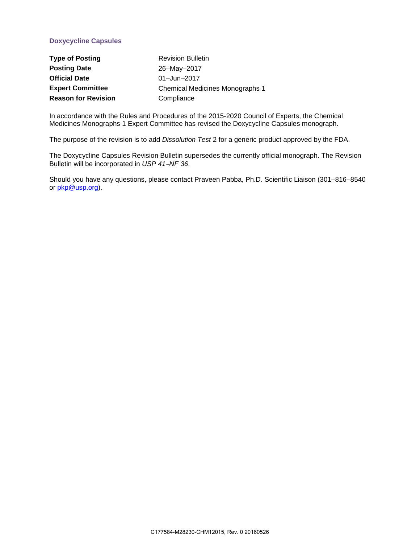## **Doxycycline Capsules**

| <b>Type of Posting</b>     | <b>Revision Bulletin</b>        |
|----------------------------|---------------------------------|
| <b>Posting Date</b>        | 26-May-2017                     |
| <b>Official Date</b>       | 01-Jun-2017                     |
| <b>Expert Committee</b>    | Chemical Medicines Monographs 1 |
| <b>Reason for Revision</b> | Compliance                      |

In accordance with the Rules and Procedures of the 2015-2020 Council of Experts, the Chemical Medicines Monographs 1 Expert Committee has revised the Doxycycline Capsules monograph.

The purpose of the revision is to add *Dissolution Test* 2 for a generic product approved by the FDA.

The Doxycycline Capsules Revision Bulletin supersedes the currently official monograph. The Revision Bulletin will be incorporated in *USP 41*−*NF 36*.

Should you have any questions, please contact Praveen Pabba, Ph.D. Scientific Liaison (301–816–8540 or [pkp@usp.org\)](mailto:pkp@usp.org).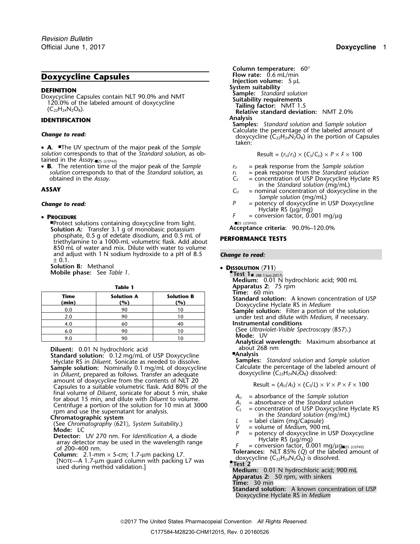# **Doxycycline Capsules**

• **A.** ■The UV spectrum of the major peak of the Sample *solution* corresponds to that of the *Standard solution*, as obtained in the *Assay*.■2S (*USP40*)

• **B.** The retention time of the major peak of the *Sample <sup>r</sup><sup>U</sup>* = peak response from the *Sample solution solution* corresponds to that of the *Standard solution*, as  $r_S =$  peak response from the *Standard solution* obtained in the *Assay*.<br> $C_S =$  concentration of USP Doxycycline Hyclate

### • PROCEDURE

■Protect solutions containing doxycycline from light.<br>
Solution A: Transfer 3.1 o of monobasic potassium **Acceptance criteria:** 90.0%–120.0% **Solution A:** Transfer 3.1 g of monobasic potassium<br>phosphate, 0.5 g of edetate disodium, and 0.5 mL of <sup>p</sup>hosphate, 0.5 g of edetate disodium, and 0.5 mL of **PERFORMANCE TESTS** triethylamine to a 1000-mL volumetric flask. Add about 850 mL of water and mix. Dilute with water to volume and adjust with 1 N sodium hydroxide to a pH of 8.5 *Change to read:*  $± 0.1.$ 

**Solution B:** Methanol **• Dissolution B:** Methanol **• Dissolution** (711) **Mobile phase:** See *Table 1*.

| <b>Table 1</b> |                          |                          | Apparatus 2: 75 rpm                                                                                                         |  |
|----------------|--------------------------|--------------------------|-----------------------------------------------------------------------------------------------------------------------------|--|
| Time<br>(min)  | <b>Solution A</b><br>(%) | <b>Solution B</b><br>(%) | Time: $60 \text{ min}$<br><b>Standard solution:</b> A known concentration of USP<br>Doxycycline Hyclate RS in Medium        |  |
| 0.0            | 90                       |                          | <b>Sample solution:</b> Filter a portion of the solution                                                                    |  |
| 2.0            | 90                       |                          | under test and dilute with <i>Medium</i> , if necessary.                                                                    |  |
| 4.0            | 60                       |                          | Instrumental conditions                                                                                                     |  |
| 6.0            | 90                       |                          | (See Ultraviolet-Visible Spectroscopy $(857)$ .)                                                                            |  |
| 9.0            | 90                       |                          | Mode: UV<br>As a substitute of the constant of the contract of the constant of the contract of the contract of $\mathbf{r}$ |  |

**Diluent:** 0.01 N hydrochloric acid about 268 nm<br>**Standard solution:** 0.12 mg/mL of USP Doxycycline **Analysis Analysis**<br>Hyclate RS in Diluent Sonicate as needed to dissolve **Samples:** Standard solution and Sample solutio Hyclate RS in *Diluent*. Sonicate as needed to dissolve. **Samples:** *Standard solution* and *Sample solution* **Sample solution:** Calculate the percentage of the label<br>in *Diluent*, prepared as follows. Transfer an adequate doxycycline doxycycline doxycycline doxycycline doxycycline doxycycline doxycycline doxycycline amount of do amount of doxycycline from the contents of the contents of  $\log \frac{1}{\lambda}$  Result =  $(A_U/A_S) \times (C_S/L) \times V \times P \times F \times 100$ <br>final volume of *Diluent*, sonicate for about 5 min, shake final volume of *Diluent*, sonicate for about 5 min, shake<br>for about 15 min, and dilute with *Diluent* to volume.<br>Centrifuge a portion of the solution for 10 min at 3000<br>rpm and use the supernatant for analysis.<br>**Chromato** 

- Solution Continuously apply (0217, 3ystem statements).<br>
Detector: UV 270 nm. For *Identification A*, a diode<br>
array detector may be used in the wavelength range<br>
of 200–400 nm.<br>
Column: 2.1-mm × 5-cm; 1.7-µm packing L7.<br>
- 
- **Test 2** USYCYCINE (C22H24IV2O8) Is dissolved.<br> **Medium:** 0.01 N hydrochloric acid; 900 mL<br> **Medium:** 0.01 N hydrochloric acid; 900 mL

**Column temperature: 60°**<br>**Flow rate:** 0.6 mL/min **Injection volume:** 5 µL<br>System suitability **DEFINITION**<br>
Doxycycline Capsules contain NLT 90.0% and NMT<br>
120.0% of the labeled amount of doxycycline<br>
(C<sub>22</sub>H<sub>24</sub>N<sub>2</sub>O<sub>8</sub>).<br>
Relative standard deviation: NMT 2.0% **Analysis IDENTIFICATION Samples:** *Standard solution* and *Sample solution* **Calculate the percentage of the labeled amount of** *Change to read:* **doxycycline (C<sub>22</sub>H<sub>24</sub>N<sub>2</sub>O<sub>8</sub>) in the portion of Capsules** taken:

Result = 
$$
(r_U/r_S)
$$
 ×  $(C_S/C_U)$  ×  $P$  ×  $F$  × 100

- 
- 
- obtained in the *Assay*.<br> **C**<sub>S</sub> = concentration of USP Doxycycline Hyclate RS<br>
in the *Standard solution* (mg/mL)
- **ASSAY C**<sub>U</sub> = nominal concentration of doxycycline in the *Sample solution* (mg/mL)
- **Change to read: Change to read: P** = potency of doxycycline in USP Doxycycline Hyclate RS (µg/mg)
	- $F = \text{conversion factor}, 0.001 \text{ mg}/\mu\text{g}$
	-
	-

- 
- - (RB 1-Jun-2017) **Medium:** 0.01 N hydrochloric acid; 900 mL
	-
	-
	- 4.0 60 40 **Instrumental conditions**
	- (See *Ultraviolet-Visible Spectroscopy*  $\langle 857 \rangle$ .)<br>Mode: UV

**Analytical wavelength:** Maximum absorbance at about 268 nm

- -

- 
- 
- 
- 
- 
- 
- 

- Apparatus 2: 50 rpm, with sinkers
- **Time:** 30 min
- **Standard solution:** A known concentration of USP Doxycycline Hyclate RS in *Medium*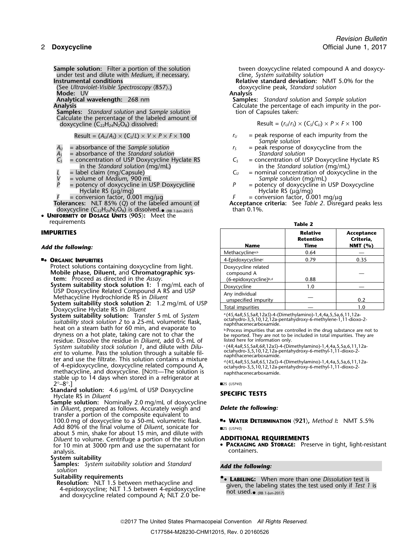under test and dilute with *Medium*, if necessary. cline, *System suitability solution*

(See *Ultraviolet-Visible Spectroscopy* 〈857〉.) doxycycline peak, *Standard solution*

# **Mode:** UV **Analysis**

**Samples:** *Standard solution* and *Sample solution* Calculate the percentage of the labeled amount of doxycycline  $(C_{22}H_{24}N_2O_8)$  dissolved:

- 
- = absorbance of the *Standard solution*<br>
= concentration of USP Doxycycline Hyclate RS<br>  $C_s$  = concentration of USP Doxycycline RS  $C_s$  = concentration of USP Doxycycline Hyclate RS  $C_s$  in the *Standard solution* (mg/mL)
- 
- 
- 
- *P* = potency of doxycycline in USP Doxycycline *Hyclate RS* (μg/mg)
- $=$  conversion factor, 0.001 mg/ $\mu$ g
- doxycycline (C<sub>22</sub>H<sub>24</sub>N<sub>2</sub>O<sub>8</sub>) is dissolved.<sub>• (RB 1-Jun-2017) than 0.1%.</sub>
- • **UNIFORMITY OF DOSAGE UNITS** 〈**905**〉**:** Meet the requirements **Table 2**

## 4-Epidoxycycline<sup>c</sup> ■**.**• **ORGANIC IMPURITIES** . 0.79 0.35

- Protect solutions containing doxycycline from light. **Mobile phase, Diluent,** and **Chromatographic sys-** compound A **tem:** Proceed as directed in the Assay.  $(6\text{-epidoxycyclic})^5$
- **System suitability stock solution 1:** 1 mg/mL each of<br>USP Doxycycline Related Compound A RS and USP<br>Methacycline Hydrochloride RS in *Diluent*<br>**System suitability stock solution 2:** 1.2 mg/mL of USP<br>Doxycycline Hyclate RS
- 
- Example the state of the state of the state of the state of the state of the state of the state of the state of the state of the state of the state of the state of the state of the state of the state of the state of the st residue. Dissolve the residue in *Diluent*, add 0.5 mL of listed here for information only.<br>System suitability stock solution 1, and dilute with *Dilu*- (4R,4aR,5S,5aR,6R,12aS)-4-(Dimethylamino)-1,4,4a,5,5a,6,11,12a-System suitability stock solution 1, and dilute with *Dilu-*<br>ent to volume. Pass the solution through a suitable filoctahydro-3,5,10,12,12a-pentahydroxy-6-methyl-1,11-dioxo-2-<br>*ent* to volume. Pass the solution through a suitable fil-<br>octahydro-3,5,10,12,12a-pentahydroxy-6-methyl-1,11-dioxo-2-<br>or and use the filtrate. This solution cont methacycline, and doxycycline. [NOTE—The solution is naphthacenecarboxamide. stable up to 14 days when stored in a refrigerator at  $2^\circ - 8^\circ$ .  $2^{\circ}-8^{\circ}.$ ] **2.125 (USP40) 2.25 (USP40)**

Standard solution: 4.6 µg/mL of USP Doxycycline **SPECIFIC TESTS**<br>Hyclate RS in *Diluent* 

**Sample solution:** Nominally 2.0 mg/mL of doxycycline in *Diluent*, prepared as follows. Accurately weigh and *Delete the following:* transfer a portion of the composite equivalent to 100.0 mg of doxycycline to a 50-mL volumetric flask. ■**.**• **WATER DETERMINATION** 〈**921**〉**,** *Method I***:** NMT 5.5% Add 80% of the final volume of *Diluent*, sonicate for ■2S (USP40) about 5 min, shake for about 15 min, and dilute with *Diluent* to volume. Centrifuge a portion of the solution **ADDITIONAL REQUIREMENTS** for 10 min at 3000 rpm and use the supernatant for **PACKAGING AND STORAGE:** Pre analysis. containers.

## **System suitability**

- **Samples:** *System suitability solution* and *Standard Add the following: solution*
- 
- and doxycycline related compound A; NLT  $2.0$  be-

**Sample solution:** Filter a portion of the solution tween doxycycline related compound A and doxycy-

**Instrumental conditions Relative standard deviation:** NMT 5.0% for the

**Analytical wavelength:** 268 nm **Samples:** *Standard solution* and *Sample solution* Calculate the percentage of each impurity in the portion of Capsules taken:

 $\text{Result} = (r_U/r_S) \times (C_S/C_U) \times P \times F \times 100$ 

- Result =  $(A_U/A_S) \times (C_S/L) \times V \times P \times F \times 100$  *r<sub>U</sub>* = peak response of each impurity from the *Sample solution*
- $A_U$  = absorbance of the *Sample solution*  $A_S$  = peak response of doxycycline from the  $A_S$  = absorbance of the *Standard solution from from the Standard solution* 
	-
- in the *Standard solution* (mg/mL) in the *Standard solution* (mg/mL) in the *Standard solution* (mg/mL)  $C_U$  = nominal concentration of doxycyc *L* = label claim (mg/Capsule)  $C_U$  = nominal concentration of doxycycline in the
- *V* = volume of *Medium*, 900 mL<br> *P* = potency of doxycycline in USP Doxycycline <br> *P* = potency of doxycycline in USP Doxycycline Hyclate RS ( $\mu$ g/mg)<br>  $F =$  conversion factor, 0.001 mg/ $\mu$ g
	-

Acceptance criteria: See *Table 2*. Disregard peaks less

| ۰ | ı<br>u |  |
|---|--------|--|
|   |        |  |

| <b>IMPURITIES</b><br>Add the following:                                                                                                                                                                                                                                                                                                         | <b>Name</b>                                                            | <b>Relative</b><br><b>Retention</b><br>Time | Acceptance<br>Criteria,<br>NMT $(%)$ |
|-------------------------------------------------------------------------------------------------------------------------------------------------------------------------------------------------------------------------------------------------------------------------------------------------------------------------------------------------|------------------------------------------------------------------------|---------------------------------------------|--------------------------------------|
|                                                                                                                                                                                                                                                                                                                                                 | Methacycline <sup>a,b</sup>                                            | 0.64                                        |                                      |
| <b>- ORGANIC IMPURITIES</b><br>Protect solutions containing doxycycline from light.<br>Mobile phase, Diluent, and Chromatographic sys-<br>tem: Proceed as directed in the Assay.<br>System suitability stock solution 1: $1 \text{ mg/mL}$ each of<br>USP Doxycycline Related Compound A RS and USP<br>Methacycline Hydrochloride RS in Diluent | 4-Epidoxycycline <sup>c</sup>                                          | 0.79                                        | 0.35                                 |
|                                                                                                                                                                                                                                                                                                                                                 | Doxycycline related<br>compound A<br>(6-epidoxycycline) <sup>b,d</sup> | 0.88                                        |                                      |
|                                                                                                                                                                                                                                                                                                                                                 | Doxycycline                                                            | 1.0                                         |                                      |
|                                                                                                                                                                                                                                                                                                                                                 | Any individual<br>unspecified impurity                                 |                                             | 0.2                                  |
| System suitability stock solution 2: 1.2 mg/mL of USP<br>Demondies Hollats BC in Dilocat                                                                                                                                                                                                                                                        | Total impurities                                                       |                                             | 1.0                                  |

 $\frac{P}{P}$  Process impurities that are controlled in the drug substance are not to be reported. They are not to be included in total impurities. They are listed here for information only.

.(4*S*,4a*R*,5*S*,5a*R*,6*S*,12a*S*)-4-(Dimethylamino)-1,4,4a,5,5a,6,11,12a- of 4-epidoxycycline, doxycycline related compound A, octahydro-3,5,10,12,12a-pentahydroxy-6-methyl-1,11-dioxo-2-

• **<sup>P</sup>ACKAGING AND STORAGE:** Preserve in tight, light-resistant for 10 min at 3000 rpm and use the supernatant for

**Suitability requirements**<br>**• LABELING:** When more than one Dissolution test is **Resolution:** NLT 1.5 between methacycline and<br>
4-epidoxycycline; NLT 1.5 between 4-epidoxycycline<br>
and downwelling related compound 4. NLT 2.0 between the used.<br>
and downwelling related compound 4. NLT 2.0 between the us